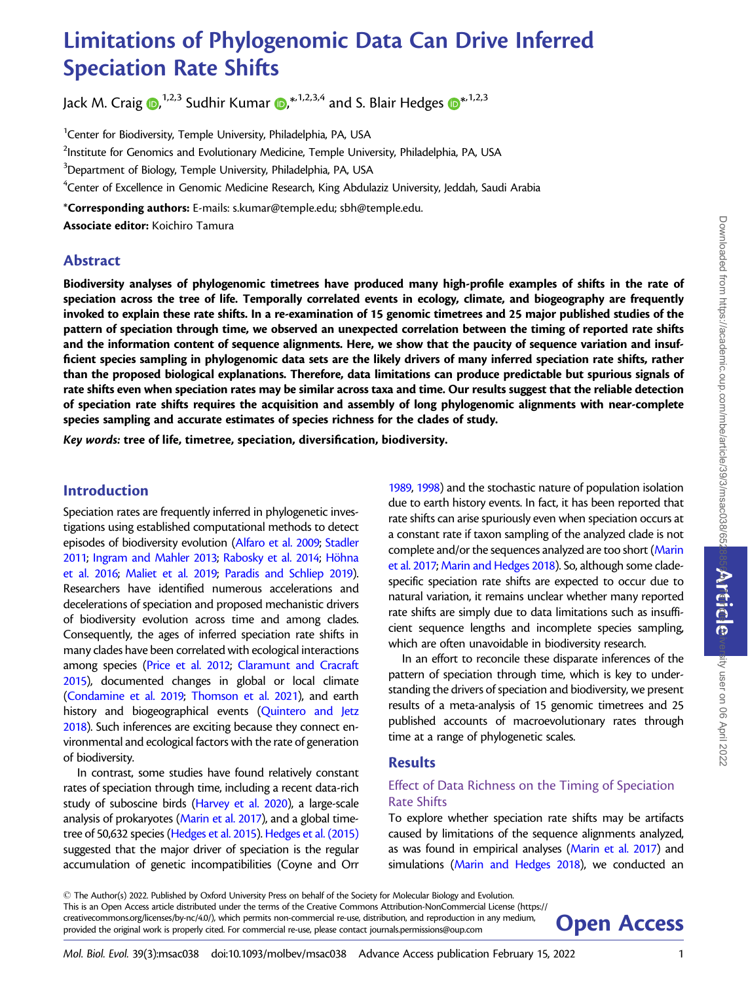# Limitations of Phylogenomic Data Can Drive Inferred Speciation Rate Shifts

Jack M. Craig **(b[,](https://orcid.org/0000-0003-0590-5944)**  $^{1,2,3}$  **Sudhir Kumar (b,** $^{*,1,2,3,4}$  $^{*,1,2,3,4}$  $^{*,1,2,3,4}$  **and S. Blair Hedges (b** $^{*,1,2,3}$ 

<sup>1</sup>Center for Biodiversity, Temple University, Philadelphia, PA, USA

 $^2$ Institute for Genomics and Evolutionary Medicine, Temple University, Philadelphia, PA, USA

 $^3$ Department of Biology, Temple University, Philadelphia, PA, USA

4 Center of Excellence in Genomic Medicine Research, King Abdulaziz University, Jeddah, Saudi Arabia

\*Corresponding authors: E-mails: s.kumar@temple.edu; sbh@temple.edu.

Associate editor: Koichiro Tamura

## Abstract

Biodiversity analyses of phylogenomic timetrees have produced many high-profile examples of shifts in the rate of speciation across the tree of life. Temporally correlated events in ecology, climate, and biogeography are frequently invoked to explain these rate shifts. In a re-examination of 15 genomic timetrees and 25 major published studies of the pattern of speciation through time, we observed an unexpected correlation between the timing of reported rate shifts and the information content of sequence alignments. Here, we show that the paucity of sequence variation and insufficient species sampling in phylogenomic data sets are the likely drivers of many inferred speciation rate shifts, rather than the proposed biological explanations. Therefore, data limitations can produce predictable but spurious signals of rate shifts even when speciation rates may be similar across taxa and time. Our results suggest that the reliable detection of speciation rate shifts requires the acquisition and assembly of long phylogenomic alignments with near-complete species sampling and accurate estimates of species richness for the clades of study.

Key words: tree of life, timetree, speciation, diversification, biodiversity.

### Introduction

Speciation rates are frequently inferred in phylogenetic investigations using established computational methods to detect episodes of biodiversity evolution [\(Alfaro et al. 2009](#page-9-0); [Stadler](#page-10-0) [2011;](#page-10-0) [Ingram and Mahler 2013;](#page-10-0) [Rabosky et al. 2014](#page-10-0); Höhna [et al. 2016;](#page-10-0) [Maliet et al. 2019;](#page-10-0) [Paradis and Schliep 2019\)](#page-10-0). Researchers have identified numerous accelerations and decelerations of speciation and proposed mechanistic drivers of biodiversity evolution across time and among clades. Consequently, the ages of inferred speciation rate shifts in many clades have been correlated with ecological interactions among species ([Price et al. 2012](#page-10-0); [Claramunt and Cracraft](#page-9-0) [2015\)](#page-9-0), documented changes in global or local climate ([Condamine et al. 2019](#page-9-0); [Thomson et al. 2021](#page-10-0)), and earth history and biogeographical events [\(Quintero and Jetz](#page-10-0) [2018\)](#page-10-0). Such inferences are exciting because they connect environmental and ecological factors with the rate of generation of biodiversity.

In contrast, some studies have found relatively constant rates of speciation through time, including a recent data-rich study of suboscine birds ([Harvey et al. 2020\)](#page-10-0), a large-scale analysis of prokaryotes [\(Marin et al. 2017](#page-10-0)), and a global timetree of 50,632 species [\(Hedges et al. 2015](#page-10-0)). [Hedges et al. \(2015\)](#page-10-0) suggested that the major driver of speciation is the regular accumulation of genetic incompatibilities (Coyne and Orr

[1989,](#page-9-0) [1998](#page-10-0)) and the stochastic nature of population isolation due to earth history events. In fact, it has been reported that rate shifts can arise spuriously even when speciation occurs at a constant rate if taxon sampling of the analyzed clade is not complete and/or the sequences analyzed are too short [\(Marin](#page-10-0) [et al. 2017](#page-10-0); [Marin and Hedges 2018\)](#page-10-0). So, although some cladespecific speciation rate shifts are expected to occur due to natural variation, it remains unclear whether many reported rate shifts are simply due to data limitations such as insufficient sequence lengths and incomplete species sampling, which are often unavoidable in biodiversity research.

In an effort to reconcile these disparate inferences of the pattern of speciation through time, which is key to understanding the drivers of speciation and biodiversity, we present results of a meta-analysis of 15 genomic timetrees and 25 published accounts of macroevolutionary rates through time at a range of phylogenetic scales.

### **Results**

## Effect of Data Richness on the Timing of Speciation Rate Shifts

To explore whether speciation rate shifts may be artifacts caused by limitations of the sequence alignments analyzed, as was found in empirical analyses [\(Marin et al. 2017\)](#page-10-0) and simulations ([Marin and Hedges 2018\)](#page-10-0), we conducted an

- The Author(s) 2022. Published by Oxford University Press on behalf of the Society for Molecular Biology and Evolution. This is an Open Access article distributed under the terms of the Creative Commons Attribution-NonCommercial License (https:// creativecommons.org/licenses/by-nc/4.0/), which permits non-commercial re-use, distribution, and reproduction in any medium, **Open Access** 

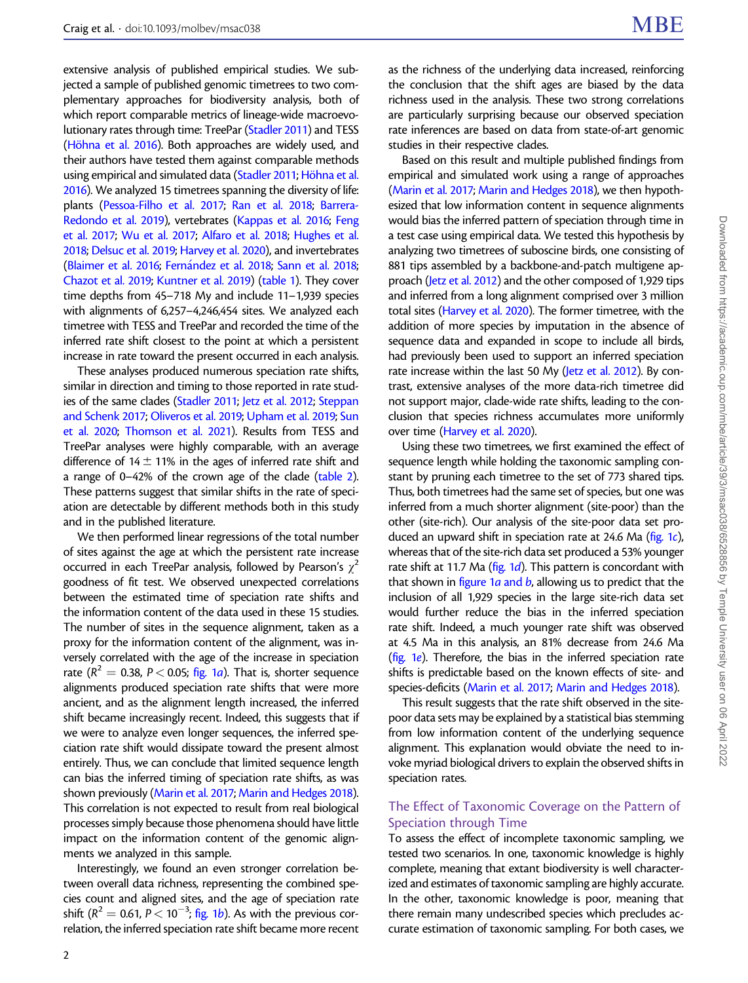extensive analysis of published empirical studies. We subjected a sample of published genomic timetrees to two complementary approaches for biodiversity analysis, both of which report comparable metrics of lineage-wide macroevolutionary rates through time: TreePar [\(Stadler 2011\)](#page-10-0) and TESS (Höhna et al. 2016). Both approaches are widely used, and their authors have tested them against comparable methods using empirical and simulated data [\(Stadler 2011](#page-10-0); Höhna et al. [2016\)](#page-10-0). We analyzed 15 timetrees spanning the diversity of life: plants [\(Pessoa-Filho et al. 2017](#page-10-0); [Ran et al. 2018;](#page-10-0) [Barrera-](#page-9-0)[Redondo et al. 2019\)](#page-9-0), vertebrates [\(Kappas et al. 2016](#page-10-0); [Feng](#page-10-0) [et al. 2017;](#page-10-0) [Wu et al. 2017;](#page-10-0) [Alfaro et al. 2018;](#page-9-0) [Hughes et al.](#page-10-0) [2018;](#page-10-0) [Delsuc et al. 2019](#page-10-0); [Harvey et al. 2020](#page-10-0)), and invertebrates ([Blaimer et al. 2016;](#page-9-0) [Fern](#page-10-0)ández et al. 2018; [Sann et al. 2018;](#page-10-0) [Chazot et al. 2019](#page-9-0); [Kuntner et al. 2019\)](#page-10-0) ([table 1](#page-2-0)). They cover time depths from 45–718 My and include 11–1,939 species with alignments of 6,257–4,246,454 sites. We analyzed each timetree with TESS and TreePar and recorded the time of the inferred rate shift closest to the point at which a persistent increase in rate toward the present occurred in each analysis.

These analyses produced numerous speciation rate shifts, similar in direction and timing to those reported in rate studies of the same clades [\(Stadler 2011;](#page-10-0) [Jetz et al. 2012](#page-10-0); [Steppan](#page-10-0) [and Schenk 2017;](#page-10-0) [Oliveros et al. 2019;](#page-10-0) [Upham et al. 2019;](#page-10-0) [Sun](#page-10-0) [et al. 2020](#page-10-0); [Thomson et al. 2021](#page-10-0)). Results from TESS and TreePar analyses were highly comparable, with an average difference of 14 $\pm$  11% in the ages of inferred rate shift and a range of 0–42% of the crown age of the clade [\(table 2\)](#page-2-0). These patterns suggest that similar shifts in the rate of speciation are detectable by different methods both in this study and in the published literature.

We then performed linear regressions of the total number of sites against the age at which the persistent rate increase occurred in each TreePar analysis, followed by Pearson's  $\chi^2$ goodness of fit test. We observed unexpected correlations between the estimated time of speciation rate shifts and the information content of the data used in these 15 studies. The number of sites in the sequence alignment, taken as a proxy for the information content of the alignment, was inversely correlated with the age of the increase in speciation rate ( $R^2 = 0.38$ , P < 0.05; [fig. 1](#page-3-0)*a*). That is, shorter sequence alignments produced speciation rate shifts that were more ancient, and as the alignment length increased, the inferred shift became increasingly recent. Indeed, this suggests that if we were to analyze even longer sequences, the inferred speciation rate shift would dissipate toward the present almost entirely. Thus, we can conclude that limited sequence length can bias the inferred timing of speciation rate shifts, as was shown previously ([Marin et al. 2017](#page-10-0); [Marin and Hedges 2018\)](#page-10-0). This correlation is not expected to result from real biological processes simply because those phenomena should have little impact on the information content of the genomic alignments we analyzed in this sample.

Interestingly, we found an even stronger correlation between overall data richness, representing the combined species count and aligned sites, and the age of speciation rate shift ( $R^2 = 0.61$ ,  $P < 10^{-3}$ ; [fig. 1](#page-3-0)b). As with the previous correlation, the inferred speciation rate shift became more recent as the richness of the underlying data increased, reinforcing the conclusion that the shift ages are biased by the data richness used in the analysis. These two strong correlations are particularly surprising because our observed speciation rate inferences are based on data from state-of-art genomic studies in their respective clades.

Based on this result and multiple published findings from empirical and simulated work using a range of approaches [\(Marin et al. 2017;](#page-10-0) [Marin and Hedges 2018](#page-10-0)), we then hypothesized that low information content in sequence alignments would bias the inferred pattern of speciation through time in a test case using empirical data. We tested this hypothesis by analyzing two timetrees of suboscine birds, one consisting of 881 tips assembled by a backbone-and-patch multigene approach ([Jetz et al. 2012\)](#page-10-0) and the other composed of 1,929 tips and inferred from a long alignment comprised over 3 million total sites [\(Harvey et al. 2020\)](#page-10-0). The former timetree, with the addition of more species by imputation in the absence of sequence data and expanded in scope to include all birds, had previously been used to support an inferred speciation rate increase within the last 50 My ([Jetz et al. 2012](#page-10-0)). By contrast, extensive analyses of the more data-rich timetree did not support major, clade-wide rate shifts, leading to the conclusion that species richness accumulates more uniformly over time [\(Harvey et al. 2020\)](#page-10-0).

Using these two timetrees, we first examined the effect of sequence length while holding the taxonomic sampling constant by pruning each timetree to the set of 773 shared tips. Thus, both timetrees had the same set of species, but one was inferred from a much shorter alignment (site-poor) than the other (site-rich). Our analysis of the site-poor data set produced an upward shift in speciation rate at 24.6 Ma ([fig. 1](#page-3-0)c), whereas that of the site-rich data set produced a 53% younger rate shift at 11.7 Ma  $(fig. 1d)$  $(fig. 1d)$ . This pattern is concordant with that shown in [figure 1](#page-3-0)a and b, allowing us to predict that the inclusion of all 1,929 species in the large site-rich data set would further reduce the bias in the inferred speciation rate shift. Indeed, a much younger rate shift was observed at 4.5 Ma in this analysis, an 81% decrease from 24.6 Ma ( $fig. 1e$ ). Therefore, the bias in the inferred speciation rate shifts is predictable based on the known effects of site- and species-deficits [\(Marin et al. 2017](#page-10-0); [Marin and Hedges 2018](#page-10-0)).

This result suggests that the rate shift observed in the sitepoor data sets may be explained by a statistical bias stemming from low information content of the underlying sequence alignment. This explanation would obviate the need to invoke myriad biological drivers to explain the observed shifts in speciation rates.

# The Effect of Taxonomic Coverage on the Pattern of Speciation through Time

To assess the effect of incomplete taxonomic sampling, we tested two scenarios. In one, taxonomic knowledge is highly complete, meaning that extant biodiversity is well characterized and estimates of taxonomic sampling are highly accurate. In the other, taxonomic knowledge is poor, meaning that there remain many undescribed species which precludes accurate estimation of taxonomic sampling. For both cases, we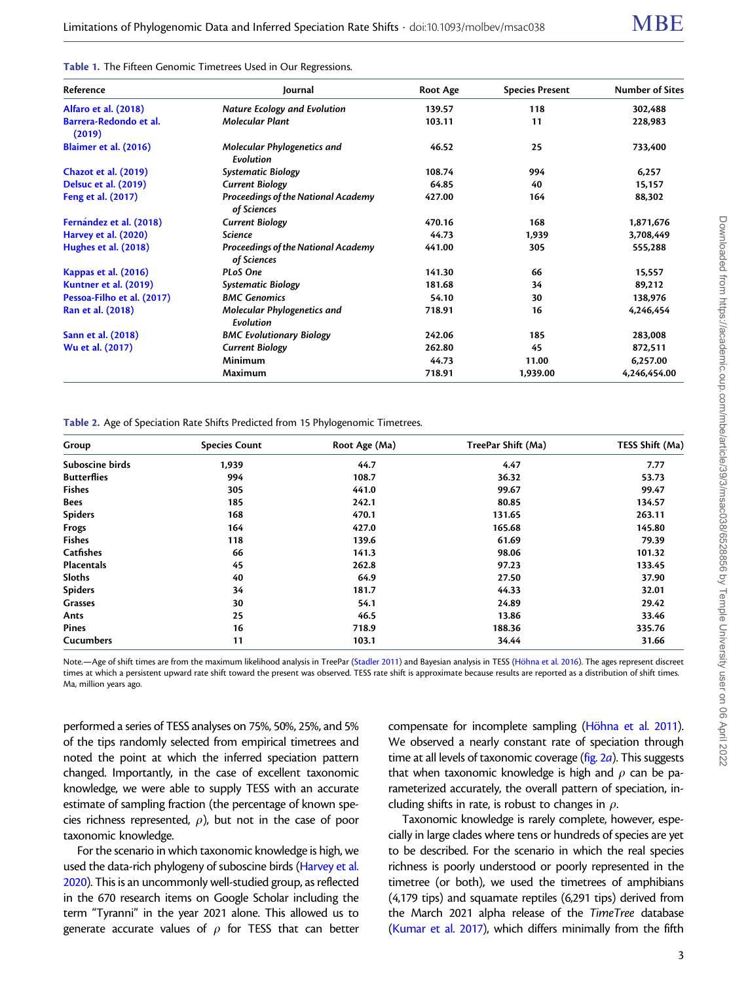| Reference                        | Journal                                            | Root Age | <b>Species Present</b> | <b>Number of Sites</b><br>302,488 |  |
|----------------------------------|----------------------------------------------------|----------|------------------------|-----------------------------------|--|
| Alfaro et al. (2018)             | <b>Nature Ecology and Evolution</b>                | 139.57   | 118                    |                                   |  |
| Barrera-Redondo et al.<br>(2019) | <b>Molecular Plant</b>                             | 103.11   | 11                     | 228,983                           |  |
| Blaimer et al. (2016)            | <b>Molecular Phylogenetics and</b><br>Evolution    | 46.52    | 25                     | 733,400                           |  |
| Chazot et al. (2019)             | <b>Systematic Biology</b>                          | 108.74   | 994                    | 6,257                             |  |
| <b>Delsuc et al. (2019)</b>      | <b>Current Biology</b>                             | 64.85    | 40                     | 15,157                            |  |
| Feng et al. (2017)               | Proceedings of the National Academy<br>of Sciences | 427.00   | 164                    | 88,302                            |  |
| Fernández et al. (2018)          | <b>Current Biology</b>                             | 470.16   | 168                    | 1,871,676                         |  |
| Harvey et al. (2020)             | <b>Science</b>                                     | 44.73    | 1,939                  | 3,708,449                         |  |
| Hughes et al. (2018)             | Proceedings of the National Academy<br>of Sciences | 441.00   | 305                    | 555,288                           |  |
| Kappas et al. (2016)             | PLoS One                                           | 141.30   | 66                     | 15,557                            |  |
| Kuntner et al. (2019)            | <b>Systematic Biology</b>                          | 181.68   | 34                     | 89,212                            |  |
| Pessoa-Filho et al. (2017)       | <b>BMC Genomics</b>                                | 54.10    | 30                     | 138,976                           |  |
| Ran et al. (2018)                | <b>Molecular Phylogenetics and</b><br>Evolution    | 718.91   | 16                     | 4,246,454                         |  |
| Sann et al. (2018)               | <b>BMC Evolutionary Biology</b>                    | 242.06   | 185                    | 283,008                           |  |
| Wu et al. (2017)                 | <b>Current Biology</b>                             | 262.80   | 45                     | 872,511                           |  |
|                                  | Minimum                                            | 44.73    | 11.00                  | 6,257.00                          |  |
|                                  | Maximum                                            | 718.91   | 1,939.00               | 4,246,454.00                      |  |

<span id="page-2-0"></span>

| Table 1. The Fifteen Genomic Timetrees Used in Our Regressions. |  |  |  |
|-----------------------------------------------------------------|--|--|--|
|-----------------------------------------------------------------|--|--|--|

Table 2. Age of Speciation Rate Shifts Predicted from 15 Phylogenomic Timetrees.

| Group              | <b>Species Count</b> | Root Age (Ma) | TreePar Shift (Ma) | TESS Shift (Ma) |
|--------------------|----------------------|---------------|--------------------|-----------------|
| Suboscine birds    | 1,939                | 44.7          | 4.47               | 7.77            |
| <b>Butterflies</b> | 994                  | 108.7         | 36.32              | 53.73           |
| <b>Fishes</b>      | 305                  | 441.0         | 99.67              | 99.47           |
| <b>Bees</b>        | 185                  | 242.1         | 80.85              | 134.57          |
| <b>Spiders</b>     | 168                  | 470.1         | 131.65             | 263.11          |
| Frogs              | 164                  | 427.0         | 165.68             | 145.80          |
| <b>Fishes</b>      | 118                  | 139.6         | 61.69              | 79.39           |
| Catfishes          | 66                   | 141.3         | 98.06              | 101.32          |
| Placentals         | 45                   | 262.8         | 97.23              | 133.45          |
| Sloths             | 40                   | 64.9          | 27.50              | 37.90           |
| <b>Spiders</b>     | 34                   | 181.7         | 44.33              | 32.01           |
| <b>Grasses</b>     | 30                   | 54.1          | 24.89              | 29.42           |
| Ants               | 25                   | 46.5          | 13.86              | 33.46           |
| Pines              | 16                   | 718.9         | 188.36             | 335.76          |
| Cucumbers          | 11                   | 103.1         | 34.44              | 31.66           |

Note.—Age of shift times are from the maximum likelihood analysis in TreePar [\(Stadler 2011\)](#page-10-0) and Bayesian analysis in TESS (Höhna et al. 2016). The ages represent discreet times at which a persistent upward rate shift toward the present was observed. TESS rate shift is approximate because results are reported as a distribution of shift times. Ma, million years ago.

performed a series of TESS analyses on 75%, 50%, 25%, and 5% of the tips randomly selected from empirical timetrees and noted the point at which the inferred speciation pattern changed. Importantly, in the case of excellent taxonomic knowledge, we were able to supply TESS with an accurate estimate of sampling fraction (the percentage of known species richness represented,  $\rho$ ), but not in the case of poor taxonomic knowledge.

For the scenario in which taxonomic knowledge is high, we used the data-rich phylogeny of suboscine birds ([Harvey et al.](#page-10-0) [2020\)](#page-10-0). This is an uncommonly well-studied group, as reflected in the 670 research items on Google Scholar including the term "Tyranni" in the year 2021 alone. This allowed us to generate accurate values of  $\rho$  for TESS that can better

compensate for incomplete sampling (Höhna et al. 2011). We observed a nearly constant rate of speciation through time at all levels of taxonomic coverage [\(fig. 2](#page-3-0)a). This suggests that when taxonomic knowledge is high and  $\rho$  can be parameterized accurately, the overall pattern of speciation, including shifts in rate, is robust to changes in  $\rho$ .

Taxonomic knowledge is rarely complete, however, especially in large clades where tens or hundreds of species are yet to be described. For the scenario in which the real species richness is poorly understood or poorly represented in the timetree (or both), we used the timetrees of amphibians (4,179 tips) and squamate reptiles (6,291 tips) derived from the March 2021 alpha release of the TimeTree database [\(Kumar et al. 2017](#page-10-0)), which differs minimally from the fifth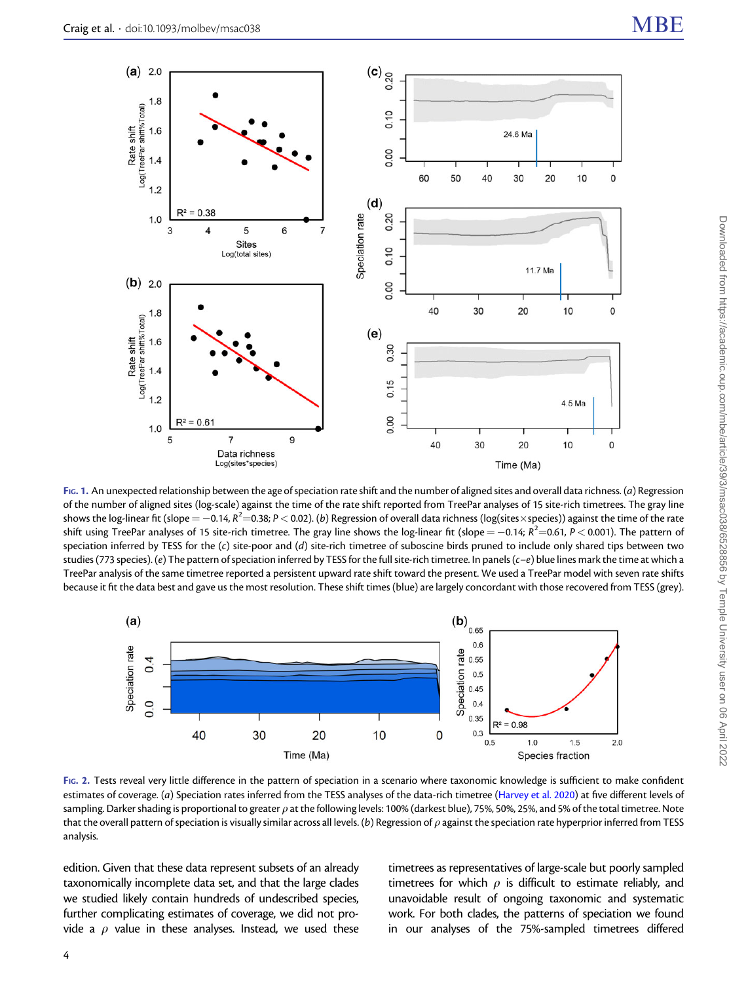<span id="page-3-0"></span>

FIG. 1. An unexpected relationship between the age of speciation rate shift and the number of aligned sites and overall data richness. (a) Regression of the number of aligned sites (log-scale) against the time of the rate shift reported from TreePar analyses of 15 site-rich timetrees. The gray line shows the log-linear fit (slope  $=-0.14$ , R $^2$ =0.38; P  $<$  0.02). (b) Regression of overall data richness (log(sites $\times$ species)) against the time of the rate shift using TreePar analyses of 15 site-rich timetree. The gray line shows the log-linear fit (slope  $=-0.14$ ;  $R^2$   $=$  0.61,  $P$   $<$  0.001). The pattern of speciation inferred by TESS for the (c) site-poor and (d) site-rich timetree of suboscine birds pruned to include only shared tips between two studies (773 species). (e) The pattern of speciation inferred by TESS for the full site-rich timetree. In panels ( $c-e$ ) blue lines mark the time at which a TreePar analysis of the same timetree reported a persistent upward rate shift toward the present. We used a TreePar model with seven rate shifts because it fit the data best and gave us the most resolution. These shift times (blue) are largely concordant with those recovered from TESS (grey).



FIG. 2. Tests reveal very little difference in the pattern of speciation in a scenario where taxonomic knowledge is sufficient to make confident estimates of coverage. (a) Speciation rates inferred from the TESS analyses of the data-rich timetree ([Harvey et al. 2020\)](#page-10-0) at five different levels of sampling. Darker shading is proportional to greater  $\rho$  at the following levels: 100% (darkest blue), 75%, 50%, 25%, and 5% of the total timetree. Note that the overall pattern of speciation is visually similar across all levels. (b) Regression of  $\rho$  against the speciation rate hyperprior inferred from TESS analysis.

edition. Given that these data represent subsets of an already taxonomically incomplete data set, and that the large clades we studied likely contain hundreds of undescribed species, further complicating estimates of coverage, we did not provide a  $\rho$  value in these analyses. Instead, we used these

timetrees as representatives of large-scale but poorly sampled timetrees for which  $\rho$  is difficult to estimate reliably, and unavoidable result of ongoing taxonomic and systematic work. For both clades, the patterns of speciation we found in our analyses of the 75%-sampled timetrees differed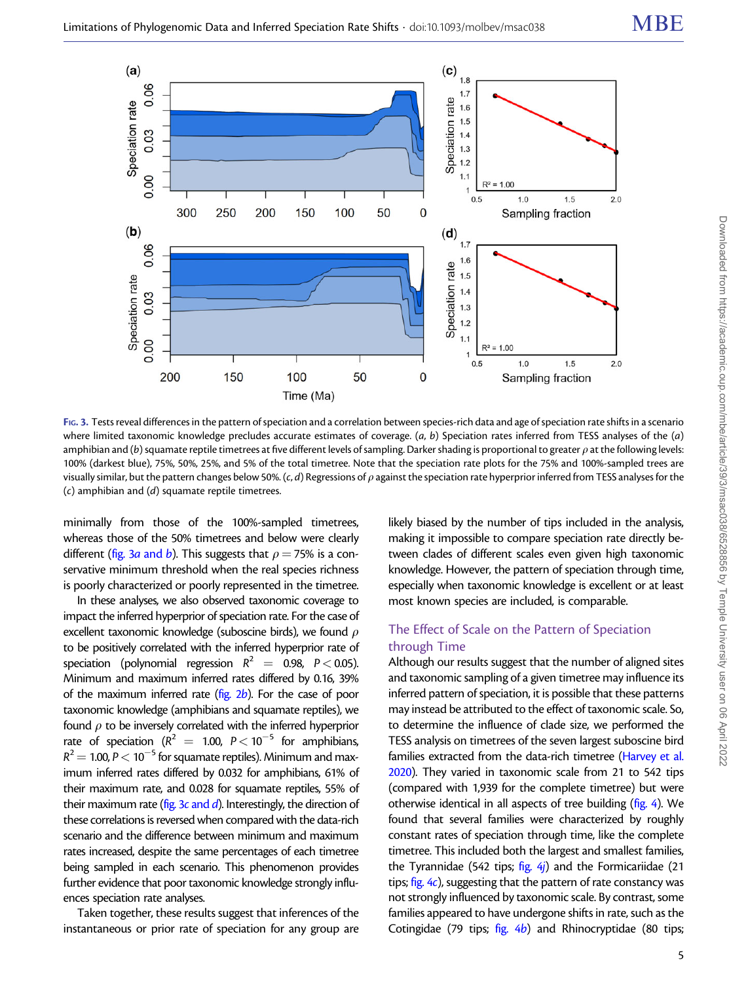<span id="page-4-0"></span>

FIG. 3. Tests reveal differences in the pattern of speciation and a correlation between species-rich data and age of speciation rate shifts in a scenario where limited taxonomic knowledge precludes accurate estimates of coverage.  $(a, b)$  Speciation rates inferred from TESS analyses of the  $(a)$ amphibian and (b) squamate reptile timetrees at five different levels of sampling. Darker shading is proportional to greater  $\rho$  at the following levels: 100% (darkest blue), 75%, 50%, 25%, and 5% of the total timetree. Note that the speciation rate plots for the 75% and 100%-sampled trees are visually similar, but the pattern changes below 50%. (c, d) Regressions of  $\rho$  against the speciation rate hyperprior inferred from TESS analyses for the  $(c)$  amphibian and  $(d)$  squamate reptile timetrees.

minimally from those of the 100%-sampled timetrees, whereas those of the 50% timetrees and below were clearly different (fig. 3a and b). This suggests that  $\rho = 75\%$  is a conservative minimum threshold when the real species richness is poorly characterized or poorly represented in the timetree.

In these analyses, we also observed taxonomic coverage to impact the inferred hyperprior of speciation rate. For the case of excellent taxonomic knowledge (suboscine birds), we found  $\rho$ to be positively correlated with the inferred hyperprior rate of speciation (polynomial regression  $R^2 = 0.98$ ,  $P < 0.05$ ). Minimum and maximum inferred rates differed by 0.16, 39% of the maximum inferred rate ( $f_1g$ ,  $2b$ ). For the case of poor taxonomic knowledge (amphibians and squamate reptiles), we found  $\rho$  to be inversely correlated with the inferred hyperprior rate of speciation ( $R^2 = 1.00$ ,  $P < 10^{-5}$  for amphibians,  $R^2$   $=$  1.00, P  $<$  10 $^{-5}$  for squamate reptiles). Minimum and maximum inferred rates differed by 0.032 for amphibians, 61% of their maximum rate, and 0.028 for squamate reptiles, 55% of their maximum rate ( $fig. 3c$  and d). Interestingly, the direction of these correlations is reversed when compared with the data-rich scenario and the difference between minimum and maximum rates increased, despite the same percentages of each timetree being sampled in each scenario. This phenomenon provides further evidence that poor taxonomic knowledge strongly influences speciation rate analyses.

Taken together, these results suggest that inferences of the instantaneous or prior rate of speciation for any group are

likely biased by the number of tips included in the analysis, making it impossible to compare speciation rate directly between clades of different scales even given high taxonomic knowledge. However, the pattern of speciation through time, especially when taxonomic knowledge is excellent or at least most known species are included, is comparable.

## The Effect of Scale on the Pattern of Speciation through Time

Although our results suggest that the number of aligned sites and taxonomic sampling of a given timetree may influence its inferred pattern of speciation, it is possible that these patterns may instead be attributed to the effect of taxonomic scale. So, to determine the influence of clade size, we performed the TESS analysis on timetrees of the seven largest suboscine bird families extracted from the data-rich timetree ([Harvey et al.](#page-10-0) [2020\)](#page-10-0). They varied in taxonomic scale from 21 to 542 tips (compared with 1,939 for the complete timetree) but were otherwise identical in all aspects of tree building ([fig. 4](#page-5-0)). We found that several families were characterized by roughly constant rates of speciation through time, like the complete timetree. This included both the largest and smallest families, the Tyrannidae (542 tips; [fig. 4](#page-5-0)j) and the Formicariidae (21 tips; [fig. 4](#page-5-0)c), suggesting that the pattern of rate constancy was not strongly influenced by taxonomic scale. By contrast, some families appeared to have undergone shifts in rate, such as the Cotingidae (79 tips;  $fig. 4b$  $fig. 4b$ ) and Rhinocryptidae (80 tips;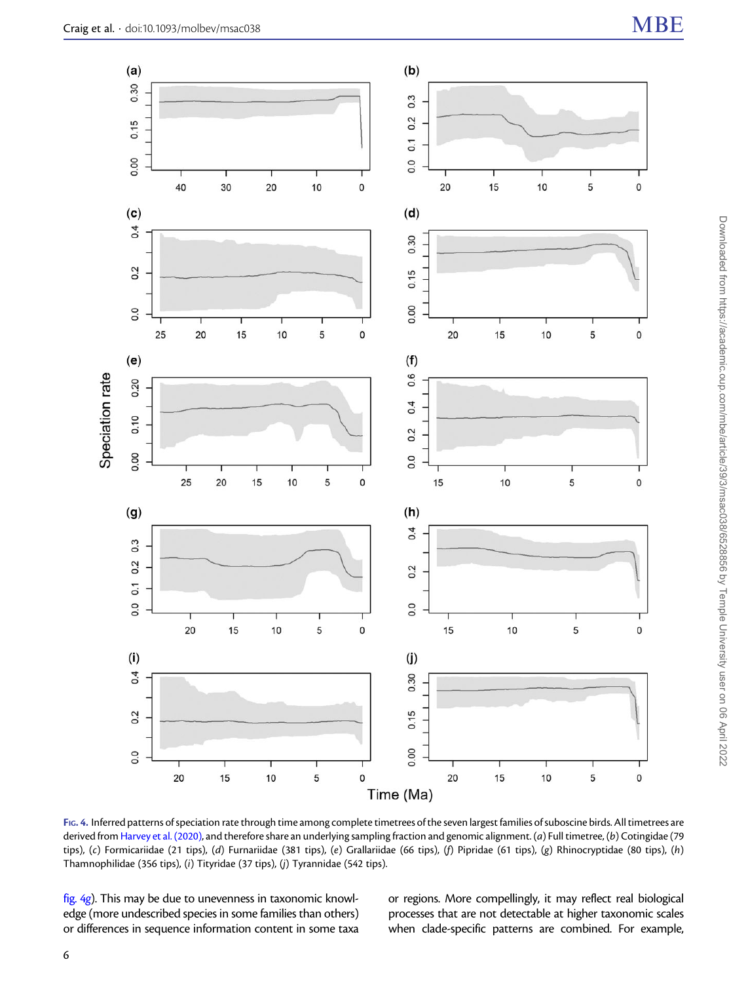<span id="page-5-0"></span>

FIG. 4. Inferred patterns of speciation rate through time among complete timetrees of the seven largest families of suboscine birds. All timetrees are derived from [Harvey et al. \(2020\),](#page-10-0) and therefore share an underlying sampling fraction and genomic alignment. (a) Full timetree, (b) Cotingidae (79 tips), (c) Formicariidae (21 tips), (d) Furnariidae (381 tips), (e) Grallariidae (66 tips), (f) Pipridae (61 tips), (g) Rhinocryptidae (80 tips), (h) Thamnophilidae (356 tips), (i) Tityridae (37 tips), (j) Tyrannidae (542 tips).

fig. 4g). This may be due to unevenness in taxonomic knowledge (more undescribed species in some families than others) or differences in sequence information content in some taxa or regions. More compellingly, it may reflect real biological processes that are not detectable at higher taxonomic scales when clade-specific patterns are combined. For example,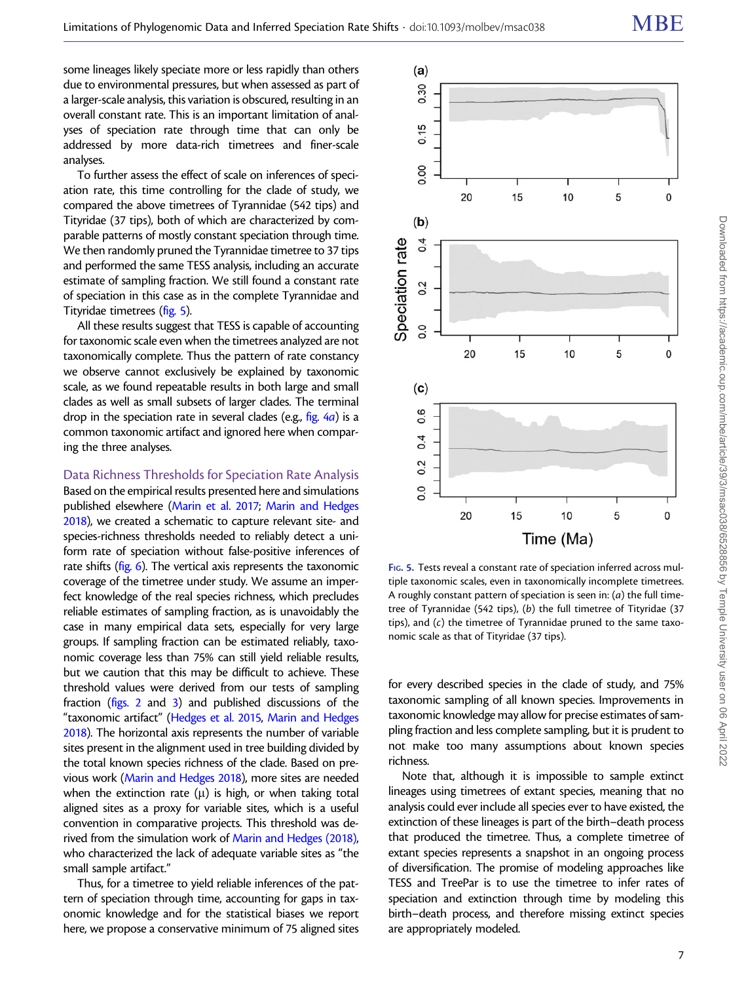some lineages likely speciate more or less rapidly than others due to environmental pressures, but when assessed as part of a larger-scale analysis, this variation is obscured, resulting in an overall constant rate. This is an important limitation of analyses of speciation rate through time that can only be addressed by more data-rich timetrees and finer-scale analyses.

To further assess the effect of scale on inferences of speciation rate, this time controlling for the clade of study, we compared the above timetrees of Tyrannidae (542 tips) and Tityridae (37 tips), both of which are characterized by comparable patterns of mostly constant speciation through time. We then randomly pruned the Tyrannidae timetree to 37 tips and performed the same TESS analysis, including an accurate estimate of sampling fraction. We still found a constant rate of speciation in this case as in the complete Tyrannidae and Tityridae timetrees (fig. 5).

All these results suggest that TESS is capable of accounting for taxonomic scale even when the timetrees analyzed are not taxonomically complete. Thus the pattern of rate constancy we observe cannot exclusively be explained by taxonomic scale, as we found repeatable results in both large and small clades as well as small subsets of larger clades. The terminal drop in the speciation rate in several clades (e.g.,  $fig. 4a$  $fig. 4a$ ) is a common taxonomic artifact and ignored here when comparing the three analyses.

Data Richness Thresholds for Speciation Rate Analysis Based on the empirical results presented here and simulations published elsewhere [\(Marin et al. 2017](#page-10-0); [Marin and Hedges](#page-10-0) [2018\)](#page-10-0), we created a schematic to capture relevant site- and species-richness thresholds needed to reliably detect a uniform rate of speciation without false-positive inferences of rate shifts [\(fig. 6\)](#page-7-0). The vertical axis represents the taxonomic coverage of the timetree under study. We assume an imperfect knowledge of the real species richness, which precludes reliable estimates of sampling fraction, as is unavoidably the case in many empirical data sets, especially for very large groups. If sampling fraction can be estimated reliably, taxonomic coverage less than 75% can still yield reliable results, but we caution that this may be difficult to achieve. These threshold values were derived from our tests of sampling fraction ([figs. 2](#page-3-0) and [3\)](#page-4-0) and published discussions of the "taxonomic artifact" [\(Hedges et al. 2015,](#page-10-0) [Marin and Hedges](#page-10-0) [2018\)](#page-10-0). The horizontal axis represents the number of variable sites present in the alignment used in tree building divided by the total known species richness of the clade. Based on previous work [\(Marin and Hedges 2018](#page-10-0)), more sites are needed when the extinction rate  $(\mu)$  is high, or when taking total aligned sites as a proxy for variable sites, which is a useful convention in comparative projects. This threshold was derived from the simulation work of [Marin and Hedges \(2018\),](#page-10-0) who characterized the lack of adequate variable sites as "the small sample artifact."

Thus, for a timetree to yield reliable inferences of the pattern of speciation through time, accounting for gaps in taxonomic knowledge and for the statistical biases we report here, we propose a conservative minimum of 75 aligned sites



FIG. 5. Tests reveal a constant rate of speciation inferred across multiple taxonomic scales, even in taxonomically incomplete timetrees. A roughly constant pattern of speciation is seen in:  $(a)$  the full timetree of Tyrannidae (542 tips), (b) the full timetree of Tityridae (37 tips), and  $(c)$  the timetree of Tyrannidae pruned to the same taxonomic scale as that of Tityridae (37 tips).

for every described species in the clade of study, and 75% taxonomic sampling of all known species. Improvements in taxonomic knowledge may allow for precise estimates of sampling fraction and less complete sampling, but it is prudent to not make too many assumptions about known species richness.

Note that, although it is impossible to sample extinct lineages using timetrees of extant species, meaning that no analysis could ever include all species ever to have existed, the extinction of these lineages is part of the birth–death process that produced the timetree. Thus, a complete timetree of extant species represents a snapshot in an ongoing process of diversification. The promise of modeling approaches like TESS and TreePar is to use the timetree to infer rates of speciation and extinction through time by modeling this birth–death process, and therefore missing extinct species are appropriately modeled.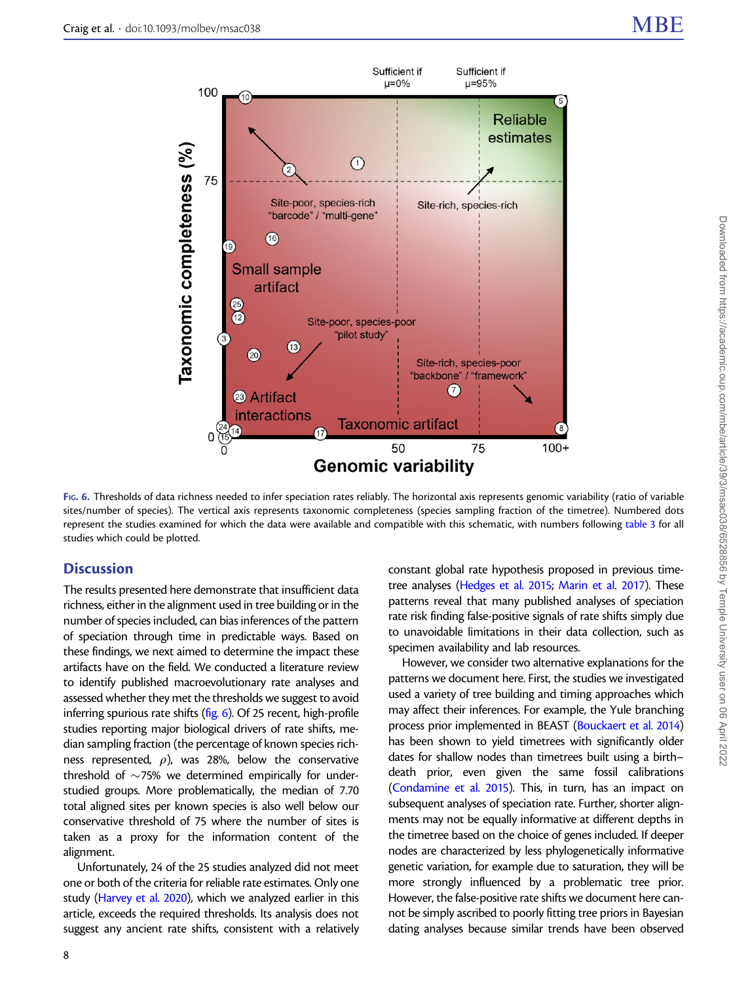<span id="page-7-0"></span>

FIG. 6. Thresholds of data richness needed to infer speciation rates reliably. The horizontal axis represents genomic variability (ratio of variable sites/number of species). The vertical axis represents taxonomic completeness (species sampling fraction of the timetree). Numbered dots represent the studies examined for which the data were available and compatible with this schematic, with numbers following [table 3](#page-8-0) for all studies which could be plotted.

#### **Discussion**

The results presented here demonstrate that insufficient data richness, either in the alignment used in tree building or in the number of species included, can bias inferences of the pattern of speciation through time in predictable ways. Based on these findings, we next aimed to determine the impact these artifacts have on the field. We conducted a literature review to identify published macroevolutionary rate analyses and assessed whether they met the thresholds we suggest to avoid inferring spurious rate shifts (fig. 6). Of 25 recent, high-profile studies reporting major biological drivers of rate shifts, median sampling fraction (the percentage of known species richness represented,  $\rho$ ), was 28%, below the conservative threshold of  $\sim$ 75% we determined empirically for understudied groups. More problematically, the median of 7.70 total aligned sites per known species is also well below our conservative threshold of 75 where the number of sites is taken as a proxy for the information content of the alignment.

Unfortunately, 24 of the 25 studies analyzed did not meet one or both of the criteria for reliable rate estimates. Only one study [\(Harvey et al. 2020\)](#page-10-0), which we analyzed earlier in this article, exceeds the required thresholds. Its analysis does not suggest any ancient rate shifts, consistent with a relatively

constant global rate hypothesis proposed in previous timetree analyses [\(Hedges et al. 2015](#page-10-0); [Marin et al. 2017](#page-10-0)). These patterns reveal that many published analyses of speciation rate risk finding false-positive signals of rate shifts simply due to unavoidable limitations in their data collection, such as specimen availability and lab resources.

However, we consider two alternative explanations for the patterns we document here. First, the studies we investigated used a variety of tree building and timing approaches which may affect their inferences. For example, the Yule branching process prior implemented in BEAST ([Bouckaert et al. 2014](#page-9-0)) has been shown to yield timetrees with significantly older dates for shallow nodes than timetrees built using a birth– death prior, even given the same fossil calibrations [\(Condamine et al. 2015](#page-9-0)). This, in turn, has an impact on subsequent analyses of speciation rate. Further, shorter alignments may not be equally informative at different depths in the timetree based on the choice of genes included. If deeper nodes are characterized by less phylogenetically informative genetic variation, for example due to saturation, they will be more strongly influenced by a problematic tree prior. However, the false-positive rate shifts we document here cannot be simply ascribed to poorly fitting tree priors in Bayesian dating analyses because similar trends have been observed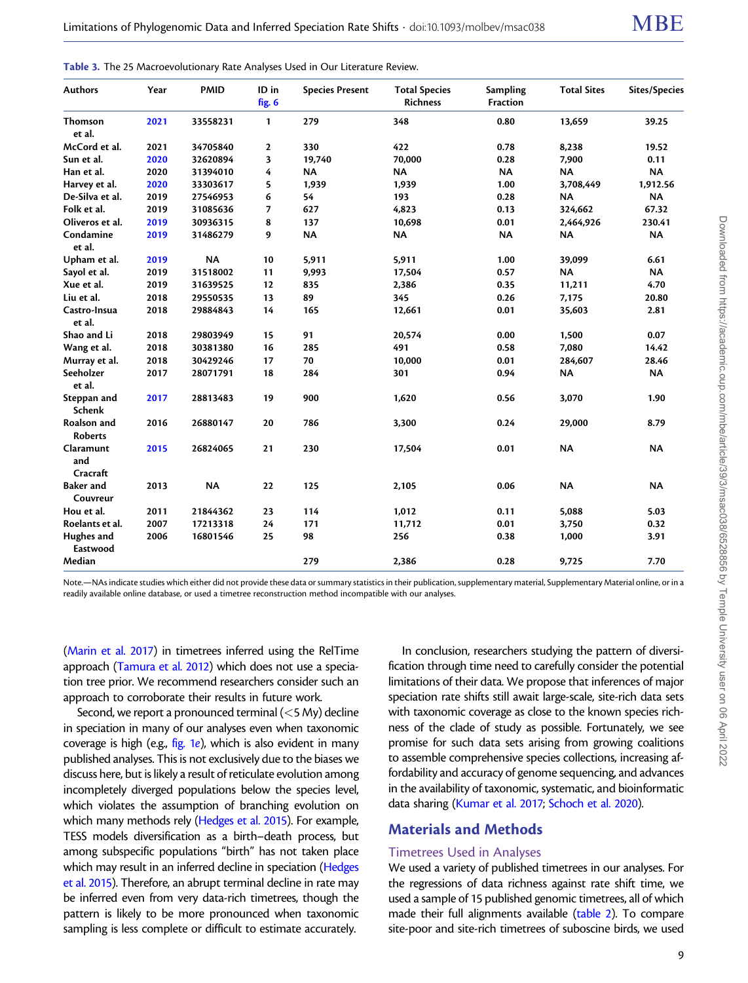<span id="page-8-0"></span>

| <b>Authors</b>                | Year | <b>PMID</b> | ID in<br>fig. 6 | <b>Species Present</b> | <b>Total Species</b><br><b>Richness</b> | <b>Sampling</b><br>Fraction | <b>Total Sites</b> | <b>Sites/Species</b> |
|-------------------------------|------|-------------|-----------------|------------------------|-----------------------------------------|-----------------------------|--------------------|----------------------|
| Thomson<br>et al.             | 2021 | 33558231    | 1               | 279                    | 348                                     | 0.80                        | 13,659             | 39.25                |
| McCord et al.                 | 2021 | 34705840    | $\mathbf{2}$    | 330                    | 422                                     | 0.78                        | 8,238              | 19.52                |
| Sun et al.                    | 2020 | 32620894    | 3               | 19,740                 | 70,000                                  | 0.28                        | 7,900              | 0.11                 |
| Han et al.                    | 2020 | 31394010    | 4               | <b>NA</b>              | <b>NA</b>                               | <b>NA</b>                   | <b>NA</b>          | <b>NA</b>            |
| Harvey et al.                 | 2020 | 33303617    | 5               | 1,939                  | 1,939                                   | 1.00                        | 3,708,449          | 1,912.56             |
| De-Silva et al.               | 2019 | 27546953    | 6               | 54                     | 193                                     | 0.28                        | <b>NA</b>          | <b>NA</b>            |
| Folk et al.                   | 2019 | 31085636    | $\overline{7}$  | 627                    | 4,823                                   | 0.13                        | 324,662            | 67.32                |
| Oliveros et al.               | 2019 | 30936315    | 8               | 137                    | 10,698                                  | 0.01                        | 2,464,926          | 230.41               |
| Condamine<br>et al.           | 2019 | 31486279    | 9               | <b>NA</b>              | <b>NA</b>                               | <b>NA</b>                   | <b>NA</b>          | <b>NA</b>            |
| Upham et al.                  | 2019 | <b>NA</b>   | 10              | 5,911                  | 5,911                                   | 1.00                        | 39,099             | 6.61                 |
| Sayol et al.                  | 2019 | 31518002    | 11              | 9,993                  | 17,504                                  | 0.57                        | <b>NA</b>          | <b>NA</b>            |
| Xue et al.                    | 2019 | 31639525    | 12              | 835                    | 2,386                                   | 0.35                        | 11,211             | 4.70                 |
| Liu et al.                    | 2018 | 29550535    | 13              | 89                     | 345                                     | 0.26                        | 7,175              | 20.80                |
| Castro-Insua<br>et al.        | 2018 | 29884843    | 14              | 165                    | 12,661                                  | 0.01                        | 35,603             | 2.81                 |
| Shao and Li                   | 2018 | 29803949    | 15              | 91                     | 20,574                                  | 0.00                        | 1,500              | 0.07                 |
| Wang et al.                   | 2018 | 30381380    | 16              | 285                    | 491                                     | 0.58                        | 7,080              | 14.42                |
| Murray et al.                 | 2018 | 30429246    | 17              | 70                     | 10,000                                  | 0.01                        | 284,607            | 28.46                |
| Seeholzer<br>et al.           | 2017 | 28071791    | 18              | 284                    | 301                                     | 0.94                        | <b>NA</b>          | <b>NA</b>            |
| Steppan and<br><b>Schenk</b>  | 2017 | 28813483    | 19              | 900                    | 1,620                                   | 0.56                        | 3,070              | 1.90                 |
| Roalson and<br><b>Roberts</b> | 2016 | 26880147    | 20              | 786                    | 3,300                                   | 0.24                        | 29,000             | 8.79                 |
| Claramunt<br>and<br>Cracraft  | 2015 | 26824065    | 21              | 230                    | 17,504                                  | 0.01                        | <b>NA</b>          | <b>NA</b>            |
| <b>Baker</b> and<br>Couvreur  | 2013 | <b>NA</b>   | 22              | 125                    | 2,105                                   | 0.06                        | <b>NA</b>          | <b>NA</b>            |
| Hou et al.                    | 2011 | 21844362    | 23              | 114                    | 1,012                                   | 0.11                        | 5,088              | 5.03                 |
| Roelants et al.               | 2007 | 17213318    | 24              | 171                    | 11,712                                  | 0.01                        | 3,750              | 0.32                 |
| Hughes and<br>Eastwood        | 2006 | 16801546    | 25              | 98                     | 256                                     | 0.38                        | 1,000              | 3.91                 |
| Median                        |      |             |                 | 279                    | 2,386                                   | 0.28                        | 9,725              | 7.70                 |

Note.—NAs indicate studies which either did not provide these data or summary statistics in their publication, supplementary material, Supplementary Material online, or in a readily available online database, or used a timetree reconstruction method incompatible with our analyses.

([Marin et al. 2017](#page-10-0)) in timetrees inferred using the RelTime approach [\(Tamura et al. 2012](#page-10-0)) which does not use a speciation tree prior. We recommend researchers consider such an approach to corroborate their results in future work.

Second, we report a pronounced terminal (<5 My) decline in speciation in many of our analyses even when taxonomic coverage is high (e.g.,  $fig. 1e$  $fig. 1e$ ), which is also evident in many published analyses. This is not exclusively due to the biases we discuss here, but is likely a result of reticulate evolution among incompletely diverged populations below the species level, which violates the assumption of branching evolution on which many methods rely [\(Hedges et al. 2015](#page-10-0)). For example, TESS models diversification as a birth–death process, but among subspecific populations "birth" has not taken place which may result in an inferred decline in speciation ([Hedges](#page-10-0) [et al. 2015](#page-10-0)). Therefore, an abrupt terminal decline in rate may be inferred even from very data-rich timetrees, though the pattern is likely to be more pronounced when taxonomic sampling is less complete or difficult to estimate accurately.

In conclusion, researchers studying the pattern of diversification through time need to carefully consider the potential limitations of their data. We propose that inferences of major speciation rate shifts still await large-scale, site-rich data sets with taxonomic coverage as close to the known species richness of the clade of study as possible. Fortunately, we see promise for such data sets arising from growing coalitions to assemble comprehensive species collections, increasing affordability and accuracy of genome sequencing, and advances in the availability of taxonomic, systematic, and bioinformatic data sharing [\(Kumar et al. 2017](#page-10-0); [Schoch et al. 2020\)](#page-10-0).

## Materials and Methods

#### Timetrees Used in Analyses

We used a variety of published timetrees in our analyses. For the regressions of data richness against rate shift time, we used a sample of 15 published genomic timetrees, all of which made their full alignments available [\(table 2\)](#page-2-0). To compare site-poor and site-rich timetrees of suboscine birds, we used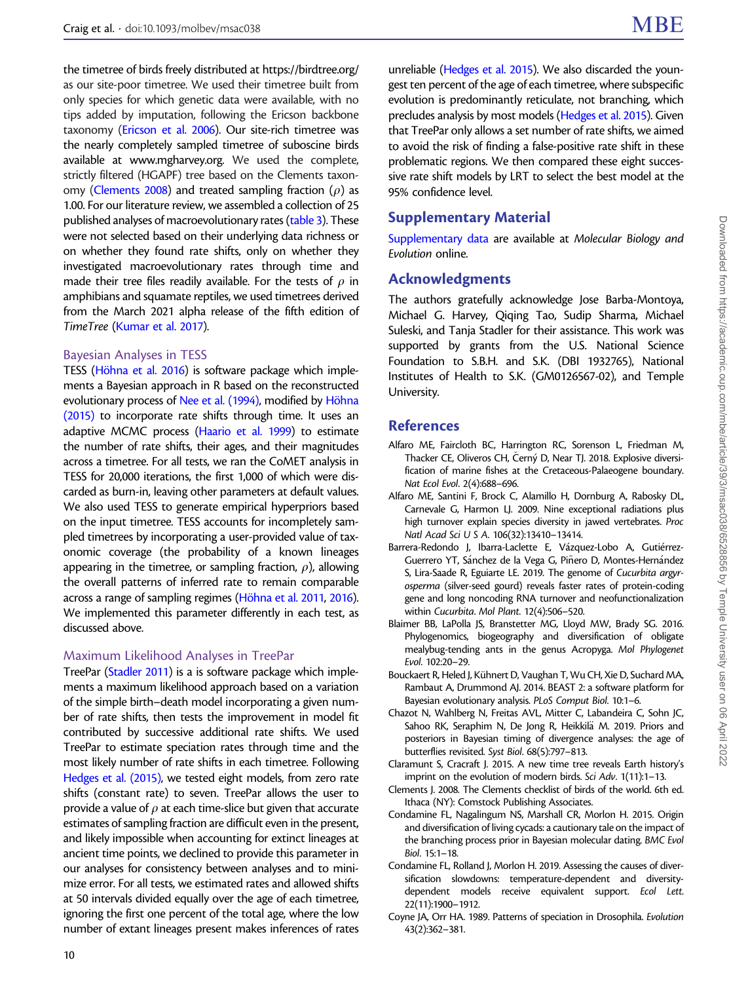<span id="page-9-0"></span>the timetree of birds freely distributed at<https://birdtree.org/> as our site-poor timetree. We used their timetree built from only species for which genetic data were available, with no tips added by imputation, following the Ericson backbone taxonomy [\(Ericson et al. 2006](#page-10-0)). Our site-rich timetree was the nearly completely sampled timetree of suboscine birds available at [www.mgharvey.org.](http://www.mgharvey.org) We used the complete, strictly filtered (HGAPF) tree based on the Clements taxonomy (Clements 2008) and treated sampling fraction ( $\rho$ ) as 1.00. For our literature review, we assembled a collection of 25 published analyses of macroevolutionary rates [\(table 3](#page-8-0)). These were not selected based on their underlying data richness or on whether they found rate shifts, only on whether they investigated macroevolutionary rates through time and made their tree files readily available. For the tests of  $\rho$  in amphibians and squamate reptiles, we used timetrees derived from the March 2021 alpha release of the fifth edition of TimeTree [\(Kumar et al. 2017\)](#page-10-0).

#### Bayesian Analyses in TESS

TESS (Höhna et al. 2016) is software package which implements a Bayesian approach in R based on the reconstructed evolutionary process of [Nee et al. \(1994\)](#page-10-0), modified by Höhna [\(2015\)](#page-10-0) to incorporate rate shifts through time. It uses an adaptive MCMC process [\(Haario et al. 1999\)](#page-10-0) to estimate the number of rate shifts, their ages, and their magnitudes across a timetree. For all tests, we ran the CoMET analysis in TESS for 20,000 iterations, the first 1,000 of which were discarded as burn-in, leaving other parameters at default values. We also used TESS to generate empirical hyperpriors based on the input timetree. TESS accounts for incompletely sampled timetrees by incorporating a user-provided value of taxonomic coverage (the probability of a known lineages appearing in the timetree, or sampling fraction,  $\rho$ ), allowing the overall patterns of inferred rate to remain comparable across a range of sampling regimes (Höhna et al. 2011, [2016\)](#page-10-0). We implemented this parameter differently in each test, as discussed above.

#### Maximum Likelihood Analyses in TreePar

TreePar [\(Stadler 2011](#page-10-0)) is a is software package which implements a maximum likelihood approach based on a variation of the simple birth–death model incorporating a given number of rate shifts, then tests the improvement in model fit contributed by successive additional rate shifts. We used TreePar to estimate speciation rates through time and the most likely number of rate shifts in each timetree. Following [Hedges et al. \(2015\)](#page-10-0), we tested eight models, from zero rate shifts (constant rate) to seven. TreePar allows the user to provide a value of  $\rho$  at each time-slice but given that accurate estimates of sampling fraction are difficult even in the present, and likely impossible when accounting for extinct lineages at ancient time points, we declined to provide this parameter in our analyses for consistency between analyses and to minimize error. For all tests, we estimated rates and allowed shifts at 50 intervals divided equally over the age of each timetree, ignoring the first one percent of the total age, where the low number of extant lineages present makes inferences of rates

unreliable [\(Hedges et al. 2015](#page-10-0)). We also discarded the youngest ten percent of the age of each timetree, where subspecific evolution is predominantly reticulate, not branching, which precludes analysis by most models [\(Hedges et al. 2015\)](#page-10-0). Given that TreePar only allows a set number of rate shifts, we aimed to avoid the risk of finding a false-positive rate shift in these problematic regions. We then compared these eight successive rate shift models by LRT to select the best model at the 95% confidence level.

# Supplementary Material

[Supplementary data](https://academic.oup.com/mbe/article-lookup/doi/10.1093/molbev/msac038#supplementary-data) are available at Molecular Biology and Evolution online.

### Acknowledgments

The authors gratefully acknowledge Jose Barba-Montoya, Michael G. Harvey, Qiqing Tao, Sudip Sharma, Michael Suleski, and Tanja Stadler for their assistance. This work was supported by grants from the U.S. National Science Foundation to S.B.H. and S.K. (DBI 1932765), National Institutes of Health to S.K. (GM0126567-02), and Temple University.

# References

- Alfaro ME, Faircloth BC, Harrington RC, Sorenson L, Friedman M, Thacker CE, Oliveros CH, Černý D, Near TJ. 2018. Explosive diversification of marine fishes at the Cretaceous-Palaeogene boundary. Nat Ecol Evol. 2(4):688–696.
- Alfaro ME, Santini F, Brock C, Alamillo H, Dornburg A, Rabosky DL, Carnevale G, Harmon LJ. 2009. Nine exceptional radiations plus high turnover explain species diversity in jawed vertebrates. Proc Natl Acad Sci U S A. 106(32):13410–13414.
- Barrera-Redondo J, Ibarra-Laclette E, Vázquez-Lobo A, Gutiérrez-Guerrero YT, Sánchez de la Vega G, Piñero D, Montes-Hernández S, Lira-Saade R, Eguiarte LE. 2019. The genome of Cucurbita argyrosperma (silver-seed gourd) reveals faster rates of protein-coding gene and long noncoding RNA turnover and neofunctionalization within Cucurbita. Mol Plant. 12(4):506–520.
- Blaimer BB, LaPolla JS, Branstetter MG, Lloyd MW, Brady SG. 2016. Phylogenomics, biogeography and diversification of obligate mealybug-tending ants in the genus Acropyga. Mol Phylogenet Evol. 102:20–29.
- Bouckaert R, Heled J, Kühnert D, Vaughan T, Wu CH, Xie D, Suchard MA, Rambaut A, Drummond AJ. 2014. BEAST 2: a software platform for Bayesian evolutionary analysis. PLoS Comput Biol. 10:1–6.
- Chazot N, Wahlberg N, Freitas AVL, Mitter C, Labandeira C, Sohn JC, Sahoo RK, Seraphim N, De Jong R, Heikkilä M. 2019. Priors and posteriors in Bayesian timing of divergence analyses: the age of butterflies revisited. Syst Biol. 68(5):797–813.
- Claramunt S, Cracraft J. 2015. A new time tree reveals Earth history's imprint on the evolution of modern birds. Sci Adv. 1(11):1–13.
- Clements J. 2008. The Clements checklist of birds of the world. 6th ed. Ithaca (NY): Comstock Publishing Associates.
- Condamine FL, Nagalingum NS, Marshall CR, Morlon H. 2015. Origin and diversification of living cycads: a cautionary tale on the impact of the branching process prior in Bayesian molecular dating. BMC Evol Biol. 15:1–18.
- Condamine FL, Rolland J, Morlon H. 2019. Assessing the causes of diversification slowdowns: temperature-dependent and diversitydependent models receive equivalent support. Ecol Lett. 22(11):1900–1912.
- Coyne JA, Orr HA. 1989. Patterns of speciation in Drosophila. Evolution 43(2):362–381.